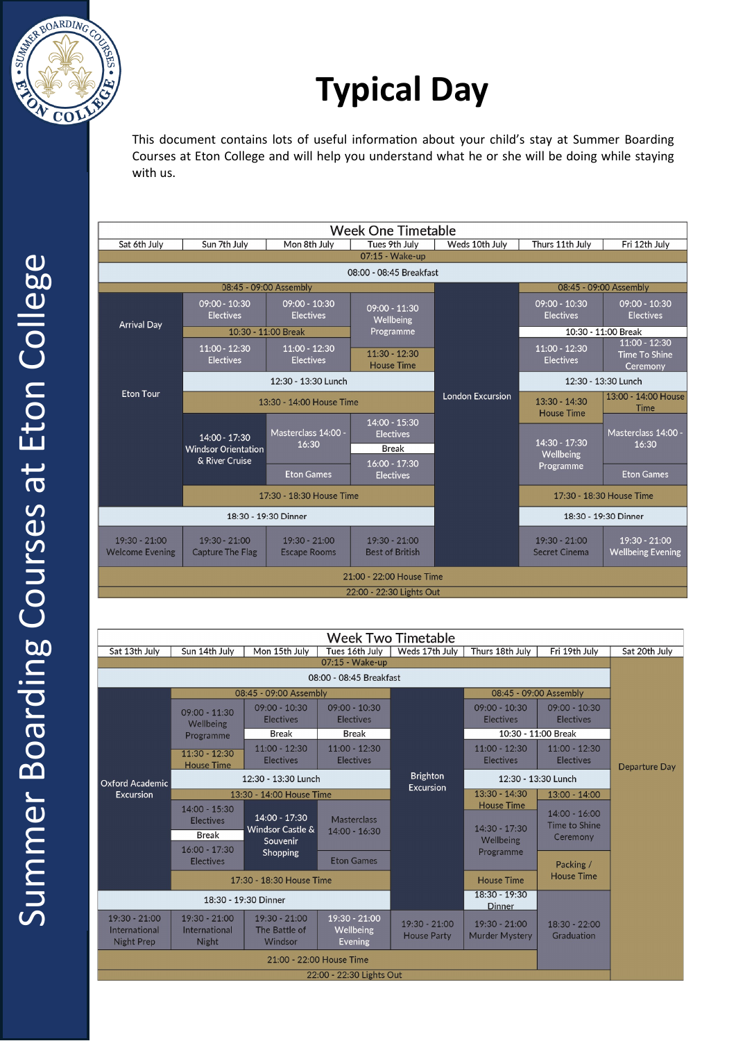

# **Typical Day**

This document contains lots of useful information about your child's stay at Summer Boarding Courses at Eton College and will help you understand what he or she will be doing while staying with us.



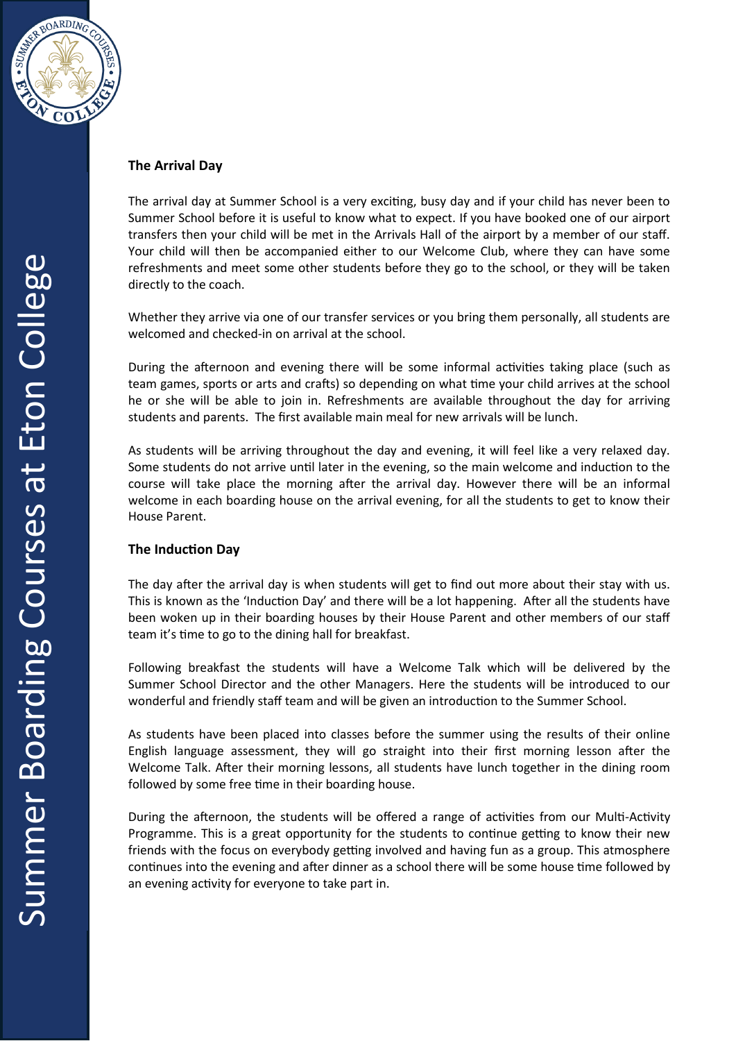

## **The Arrival Day**

The arrival day at Summer School is a very exciting, busy day and if your child has never been to Summer School before it is useful to know what to expect. If you have booked one of our airport transfers then your child will be met in the Arrivals Hall of the airport by a member of our staff. Your child will then be accompanied either to our Welcome Club, where they can have some refreshments and meet some other students before they go to the school, or they will be taken directly to the coach.

Whether they arrive via one of our transfer services or you bring them personally, all students are welcomed and checked-in on arrival at the school.

During the afternoon and evening there will be some informal activities taking place (such as team games, sports or arts and crafts) so depending on what time your child arrives at the school he or she will be able to join in. Refreshments are available throughout the day for arriving students and parents. The first available main meal for new arrivals will be lunch.

As students will be arriving throughout the day and evening, it will feel like a very relaxed day. Some students do not arrive until later in the evening, so the main welcome and induction to the course will take place the morning after the arrival day. However there will be an informal welcome in each boarding house on the arrival evening, for all the students to get to know their House Parent.

## **The Induction Day**

The day after the arrival day is when students will get to find out more about their stay with us. This is known as the 'Induction Day' and there will be a lot happening. After all the students have been woken up in their boarding houses by their House Parent and other members of our staff team it's time to go to the dining hall for breakfast.

Following breakfast the students will have a Welcome Talk which will be delivered by the Summer School Director and the other Managers. Here the students will be introduced to our wonderful and friendly staff team and will be given an introduction to the Summer School.

As students have been placed into classes before the summer using the results of their online English language assessment, they will go straight into their first morning lesson after the Welcome Talk. After their morning lessons, all students have lunch together in the dining room followed by some free time in their boarding house.

During the afternoon, the students will be offered a range of activities from our Multi-Activity Programme. This is a great opportunity for the students to continue getting to know their new friends with the focus on everybody getting involved and having fun as a group. This atmosphere continues into the evening and after dinner as a school there will be some house time followed by an evening activity for everyone to take part in.